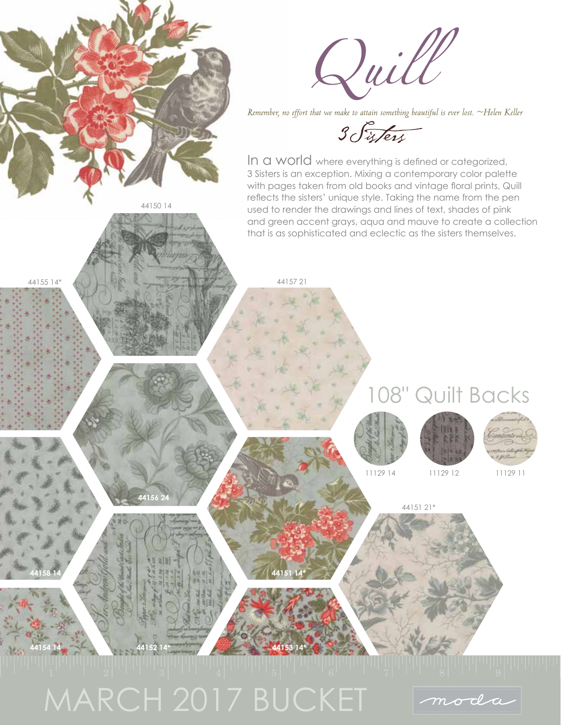

MARCH 2017 BUCKET